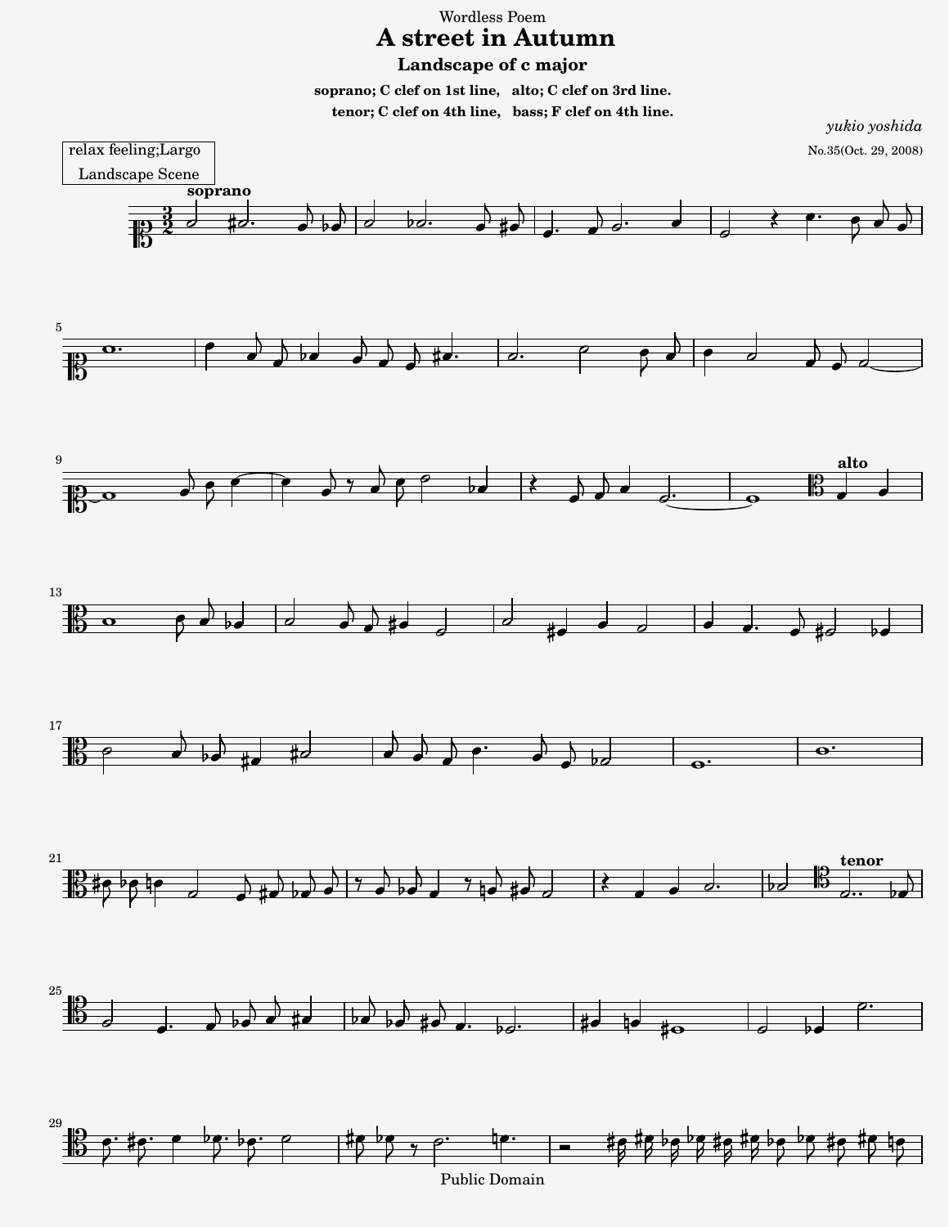Wordless Poem  **A street in Autumn Landscape of c major**

**soprano; C clef on 1st line, alto; C clef on 3rd line. tenor; C clef on 4th line, bass; F clef on 4th line.**